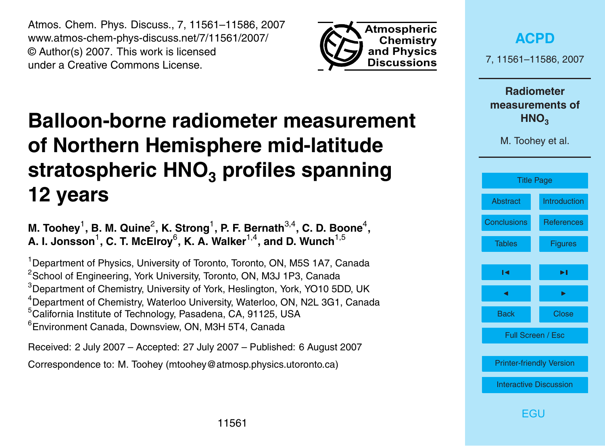<span id="page-0-0"></span>Atmos. Chem. Phys. Discuss., 7, 11561–11586, 2007 www.atmos-chem-phys-discuss.net/7/11561/2007/ © Author(s) 2007. This work is licensed under a Creative Commons License.



# **Balloon-borne radiometer measurement of Northern Hemisphere mid-latitude stratospheric HNO<sup>3</sup> profiles spanning 12 years**

M. Toohey<sup>1</sup>, B. M. Quine<sup>2</sup>, K. Strong<sup>1</sup>, P. F. Bernath<sup>3,4</sup>, C. D. Boone<sup>4</sup>, A. I. Jonsson<sup>1</sup>, C. T. McElroy<sup>6</sup>, K. A. Walker<sup>1,4</sup>, and D. Wunch<sup>1,5</sup>

<sup>1</sup> Department of Physics, University of Toronto, Toronto, ON, M5S 1A7, Canada <sup>2</sup>School of Engineering, York University, Toronto, ON, M3J 1P3, Canada <sup>3</sup>Department of Chemistry, University of York, Heslington, York, YO10 5DD, UK <sup>4</sup> Department of Chemistry, Waterloo University, Waterloo, ON, N2L 3G1, Canada <sup>5</sup>California Institute of Technology, Pasadena, CA, 91125, USA <sup>6</sup>Environment Canada, Downsview, ON, M3H 5T4, Canada

Received: 2 July 2007 – Accepted: 27 July 2007 – Published: 6 August 2007 Correspondence to: M. Toohey (mtoohey@atmosp.physics.utoronto.ca)

**[ACPD](http://www.atmos-chem-phys-discuss.net)** 7, 11561–11586, 2007 **Radiometer measurements of HNO**<sub>3</sub> M. Toohey et al. Title Page [Abstract](#page-1-0) [Introduction](#page-1-0) [Conclusions](#page-14-0) [References](#page-15-0) [Tables](#page-19-0) [Figures](#page-20-0)

**FGU**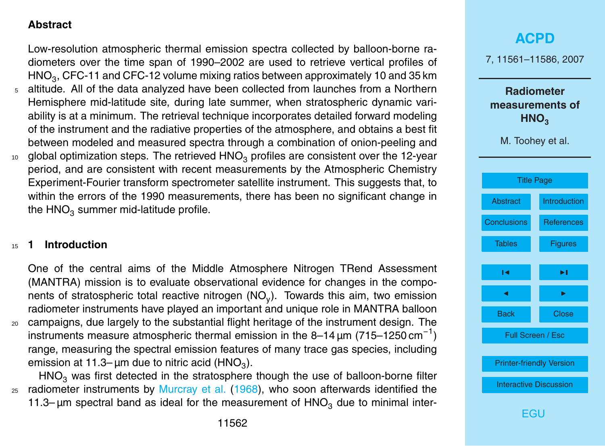#### <span id="page-1-0"></span>**Abstract**

Low-resolution atmospheric thermal emission spectra collected by balloon-borne radiometers over the time span of 1990–2002 are used to retrieve vertical profiles of  $\mathsf{HNO}_3$ , CFC-11 and CFC-12 volume mixing ratios between approximately 10 and 35 km

- <sup>5</sup> altitude. All of the data analyzed have been collected from launches from a Northern Hemisphere mid-latitude site, during late summer, when stratospheric dynamic variability is at a minimum. The retrieval technique incorporates detailed forward modeling of the instrument and the radiative properties of the atmosphere, and obtains a best fit between modeled and measured spectra through a combination of onion-peeling and
- $10$  global optimization steps. The retrieved HNO<sub>3</sub> profiles are consistent over the 12-year period, and are consistent with recent measurements by the Atmospheric Chemistry Experiment-Fourier transform spectrometer satellite instrument. This suggests that, to within the errors of the 1990 measurements, there has been no significant change in the  $HNO<sub>3</sub>$  summer mid-latitude profile.

#### <sup>15</sup> **1 Introduction**

One of the central aims of the Middle Atmosphere Nitrogen TRend Assessment (MANTRA) mission is to evaluate observational evidence for changes in the components of stratospheric total reactive nitrogen (NO<sub>y</sub>). Towards this aim, two emission radiometer instruments have played an important and unique role in MANTRA balloon

<sup>20</sup> campaigns, due largely to the substantial flight heritage of the instrument design. The instruments measure atmospheric thermal emission in the 8-14  $\mu$ m (715-1250 cm<sup>-1</sup>) range, measuring the spectral emission features of many trace gas species, including emission at 11.3– µm due to nitric acid (HNO $_3$ ).

 $HNO<sub>3</sub>$  was first detected in the stratosphere though the use of balloon-borne filter  $25$  radiometer instruments by [Murcray et al.](#page-16-0) [\(1968\)](#page-16-0), who soon afterwards identified the 11.3–  $\mu$ m spectral band as ideal for the measurement of  $HNO<sub>3</sub>$  due to minimal inter-

## **[ACPD](http://www.atmos-chem-phys-discuss.net)** 7, 11561–11586, 2007 **Radiometer measurements of HNO**<sub>3</sub> M. Toohey et al. [Title Page](#page-0-0) Abstract Introduction [Conclusions](#page-14-0) [References](#page-15-0) [Tables](#page-19-0) [Figures](#page-20-0)  $\sim$  J  $\sim$ **J** I I I I Back Close Full Screen / Esc [Printer-friendly Version](http://www.atmos-chem-phys-discuss.net/7/11561/2007/acpd-7-11561-2007-print.pdf) [Interactive Discussion](http://www.atmos-chem-phys-discuss.net/7/11561/2007/acpd-7-11561-2007-discussion.html) [EGU](http://www.egu.eu)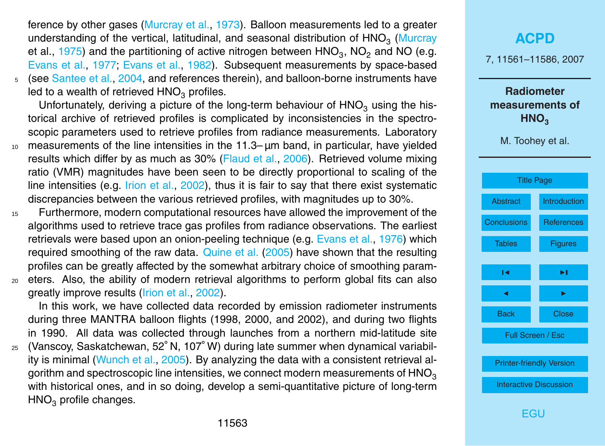<span id="page-2-0"></span>ference by other gases [\(Murcray et al.,](#page-17-0) [1973\)](#page-17-0). Balloon measurements led to a greater [u](#page-17-0)nderstanding of the vertical, latitudinal, and seasonal distribution of  $\mathsf{HNO}_3$  [\(Murcray](#page-17-0) [et al.,](#page-17-0) [1975\)](#page-17-0) and the partitioning of active nitrogen between  $\mathsf{HNO}_3\text{, } \mathsf{NO}_2$  and  $\mathsf{NO}$  (e.g. [Evans et al.,](#page-16-0) [1977;](#page-16-0) [Evans et al.,](#page-16-0) [1982\)](#page-16-0). Subsequent measurements by space-based <sup>5</sup> (see [Santee et al.,](#page-18-0) [2004,](#page-18-0) and references therein), and balloon-borne instruments have

led to a wealth of retrieved  $HNO<sub>3</sub>$  profiles.

Unfortunately, deriving a picture of the long-term behaviour of  $HNO<sub>3</sub>$  using the historical archive of retrieved profiles is complicated by inconsistencies in the spectroscopic parameters used to retrieve profiles from radiance measurements. Laboratory

- <sup>10</sup> measurements of the line intensities in the 11.3– µm band, in particular, have yielded results which differ by as much as 30% [\(Flaud et al.,](#page-16-0) [2006\)](#page-16-0). Retrieved volume mixing ratio (VMR) magnitudes have been seen to be directly proportional to scaling of the line intensities (e.g. *[Irion et al.,](#page-16-0) 2002*), thus it is fair to say that there exist systematic discrepancies between the various retrieved profiles, with magnitudes up to 30%.
- <sup>15</sup> Furthermore, modern computational resources have allowed the improvement of the algorithms used to retrieve trace gas profiles from radiance observations. The earliest retrievals were based upon an onion-peeling technique (e.g. [Evans et al.,](#page-16-0) [1976\)](#page-16-0) which required smoothing of the raw data. [Quine et al.](#page-17-0) [\(2005\)](#page-17-0) have shown that the resulting profiles can be greatly affected by the somewhat arbitrary choice of smoothing param-
- <sup>20</sup> eters. Also, the ability of modern retrieval algorithms to perform global fits can also greatly improve results [\(Irion et al.,](#page-16-0) [2002\)](#page-16-0).

In this work, we have collected data recorded by emission radiometer instruments during three MANTRA balloon flights (1998, 2000, and 2002), and during two flights in 1990. All data was collected through launches from a northern mid-latitude site

25 (Vanscoy, Saskatchewan, 52°N, 107°W) during late summer when dynamical variability is minimal [\(Wunch et al.,](#page-18-0) [2005\)](#page-18-0). By analyzing the data with a consistent retrieval algorithm and spectroscopic line intensities, we connect modern measurements of  $HNO<sub>3</sub>$ with historical ones, and in so doing, develop a semi-quantitative picture of long-term  $HNO<sub>3</sub>$  profile changes.

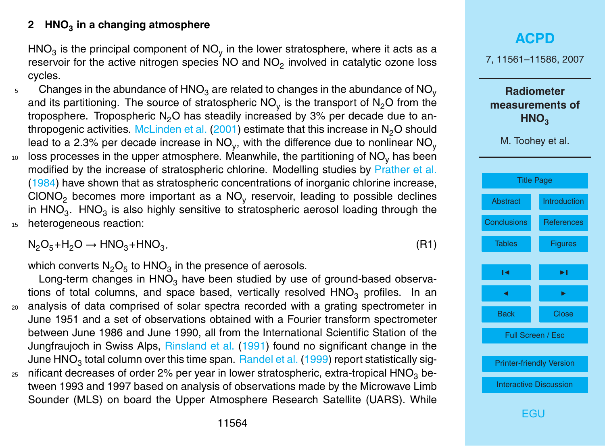### <span id="page-3-0"></span>**2 HNO<sup>3</sup> in a changing atmosphere**

HNO $_3$  is the principal component of NO<sub>y</sub> in the lower stratosphere, where it acts as a reservoir for the active nitrogen species NO and NO<sub>2</sub> involved in catalytic ozone loss cycles.

Changes in the abundance of  $\mathsf{HNO}_3$  are related to changes in the abundance of  $\mathsf{NO}_\mathsf{y}$ 5 and its partitioning. The source of stratospheric NO<sub>y</sub> is the transport of N<sub>2</sub>O from the troposphere. Tropospheric  $N_2O$  has steadily increased by 3% per decade due to an-thropogenic activities. [McLinden et al.](#page-16-0)  $(2001)$  estimate that this increase in N<sub>2</sub>O should lead to a 2.3% per decade increase in NO<sub>y</sub>, with the difference due to nonlinear NO<sub>y</sub>  $10$  loss processes in the upper atmosphere. Meanwhile, the partitioning of NO<sub>y</sub> has been modified by the increase of stratospheric chlorine. Modelling studies by [Prather et al.](#page-17-0) [\(1984\)](#page-17-0) have shown that as stratospheric concentrations of inorganic chlorine increase, CIONO<sub>2</sub> becomes more important as a NO<sub>y</sub> reservoir, leading to possible declines in HNO<sub>3</sub>. HNO<sub>3</sub> is also highly sensitive to stratospheric aerosol loading through the 15 heterogeneous reaction:

 $N_2O_5+H_2O \rightarrow HNO_3+HNO_3$ *,* (R1)

which converts  $\mathsf{N}_2\mathsf{O}_5$  to  $\mathsf{HNO}_3$  in the presence of aerosols.

Long-term changes in  $HNO<sub>3</sub>$  have been studied by use of ground-based observations of total columns, and space based, vertically resolved  $HNO<sub>3</sub>$  profiles. In an <sup>20</sup> analysis of data comprised of solar spectra recorded with a grating spectrometer in June 1951 and a set of observations obtained with a Fourier transform spectrometer between June 1986 and June 1990, all from the International Scientific Station of the Jungfraujoch in Swiss Alps, [Rinsland et al.](#page-17-0) [\(1991\)](#page-17-0) found no significant change in the June  $\mathsf{HNO}_3$  total column over this time span.  $\mathsf{Randel}$  et al. [\(1999\)](#page-17-0) report statistically sig-

 $25$  nificant decreases of order 2% per year in lower stratospheric, extra-tropical HNO<sub>3</sub> between 1993 and 1997 based on analysis of observations made by the Microwave Limb Sounder (MLS) on board the Upper Atmosphere Research Satellite (UARS). While

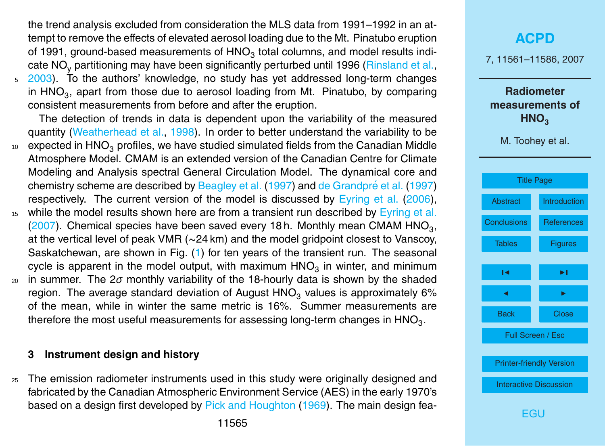<span id="page-4-0"></span>the trend analysis excluded from consideration the MLS data from 1991–1992 in an attempt to remove the effects of elevated aerosol loading due to the Mt. Pinatubo eruption of 1991, ground-based measurements of  $\mathsf{HNO}_3$  total columns, and model results indi-cate NO<sub>y</sub> partitioning may have been significantly perturbed until 1996 [\(Rinsland et al.,](#page-17-0) <sup>5</sup> [2003\)](#page-17-0). To the authors' knowledge, no study has yet addressed long-term changes in  $HNO<sub>3</sub>$ , apart from those due to aerosol loading from Mt. Pinatubo, by comparing consistent measurements from before and after the eruption.

The detection of trends in data is dependent upon the variability of the measured quantity [\(Weatherhead et al.,](#page-18-0) [1998\)](#page-18-0). In order to better understand the variability to be

- $10<sub>10</sub>$  expected in HNO<sub>3</sub> profiles, we have studied simulated fields from the Canadian Middle Atmosphere Model. CMAM is an extended version of the Canadian Centre for Climate Modeling and Analysis spectral General Circulation Model. The dynamical core and chemistry scheme are described by [Beagley et al.](#page-15-0) [\(1997\)](#page-15-0) and de Grandpré et al. (1997) respectively. The current version of the model is discussed by [Eyring et al.](#page-16-0) [\(2006\)](#page-16-0),
- <sup>15</sup> while the model results shown here are from a transient run described by [Eyring et al.](#page-16-0) [\(2007\)](#page-16-0). Chemical species have been saved every 18 h. Monthly mean CMAM HNO<sub>3</sub>, at the vertical level of peak VMR (∼24 km) and the model gridpoint closest to Vanscoy, Saskatchewan, are shown in Fig. [\(1\)](#page-20-0) for ten years of the transient run. The seasonal cycle is apparent in the model output, with maximum  $\mathsf{HNO}_3$  in winter, and minimum
- <sup>20</sup> in summer. The 2*σ* monthly variability of the 18-hourly data is shown by the shaded region. The average standard deviation of August HNO<sub>3</sub> values is approximately 6% of the mean, while in winter the same metric is 16%. Summer measurements are therefore the most useful measurements for assessing long-term changes in  $\mathsf{HNO}_3.$

#### **3 Instrument design and history**

<sub>25</sub> The emission radiometer instruments used in this study were originally designed and fabricated by the Canadian Atmospheric Environment Service (AES) in the early 1970's based on a design first developed by [Pick and Houghton](#page-17-0) [\(1969\)](#page-17-0). The main design fea-

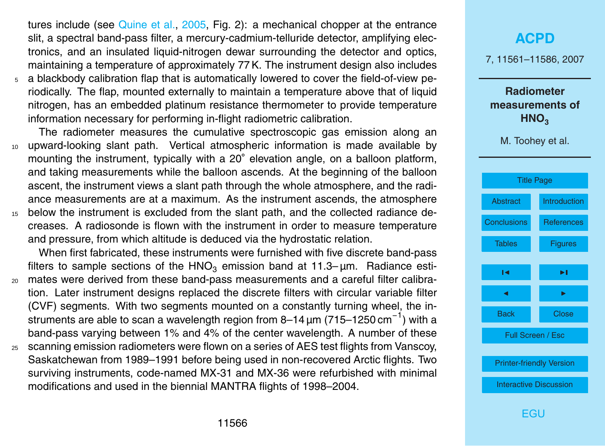<span id="page-5-0"></span>tures include (see [Quine et al.,](#page-17-0) [2005,](#page-17-0) Fig. 2): a mechanical chopper at the entrance slit, a spectral band-pass filter, a mercury-cadmium-telluride detector, amplifying electronics, and an insulated liquid-nitrogen dewar surrounding the detector and optics, maintaining a temperature of approximately 77 K. The instrument design also includes

<sup>5</sup> a blackbody calibration flap that is automatically lowered to cover the field-of-view periodically. The flap, mounted externally to maintain a temperature above that of liquid nitrogen, has an embedded platinum resistance thermometer to provide temperature information necessary for performing in-flight radiometric calibration.

The radiometer measures the cumulative spectroscopic gas emission along an <sup>10</sup> upward-looking slant path. Vertical atmospheric information is made available by mounting the instrument, typically with a 20° elevation angle, on a balloon platform, and taking measurements while the balloon ascends. At the beginning of the balloon ascent, the instrument views a slant path through the whole atmosphere, and the radiance measurements are at a maximum. As the instrument ascends, the atmosphere <sup>15</sup> below the instrument is excluded from the slant path, and the collected radiance decreases. A radiosonde is flown with the instrument in order to measure temperature

and pressure, from which altitude is deduced via the hydrostatic relation.

When first fabricated, these instruments were furnished with five discrete band-pass filters to sample sections of the HNO<sub>3</sub> emission band at 11.3– $\mu$ m. Radiance esti-

- <sup>20</sup> mates were derived from these band-pass measurements and a careful filter calibration. Later instrument designs replaced the discrete filters with circular variable filter (CVF) segments. With two segments mounted on a constantly turning wheel, the instruments are able to scan a wavelength region from 8-14  $\mu$ m (715-1250 cm<sup>-1</sup>) with a band-pass varying between 1% and 4% of the center wavelength. A number of these
- <sup>25</sup> scanning emission radiometers were flown on a series of AES test flights from Vanscoy, Saskatchewan from 1989–1991 before being used in non-recovered Arctic flights. Two surviving instruments, code-named MX-31 and MX-36 were refurbished with minimal modifications and used in the biennial MANTRA flights of 1998–2004.

# **[ACPD](http://www.atmos-chem-phys-discuss.net)** 7, 11561–11586, 2007 **Radiometer measurements of HNO**<sub>3</sub> M. Toohey et al. [Title Page](#page-0-0) [Abstract](#page-1-0) [Introduction](#page-1-0) [Conclusions](#page-14-0) [References](#page-15-0) [Tables](#page-19-0) [Figures](#page-20-0)  $\sim$  J  $\sim$ **J** I I I I Back Close Full Screen / Esc [Printer-friendly Version](http://www.atmos-chem-phys-discuss.net/7/11561/2007/acpd-7-11561-2007-print.pdf) [Interactive Discussion](http://www.atmos-chem-phys-discuss.net/7/11561/2007/acpd-7-11561-2007-discussion.html)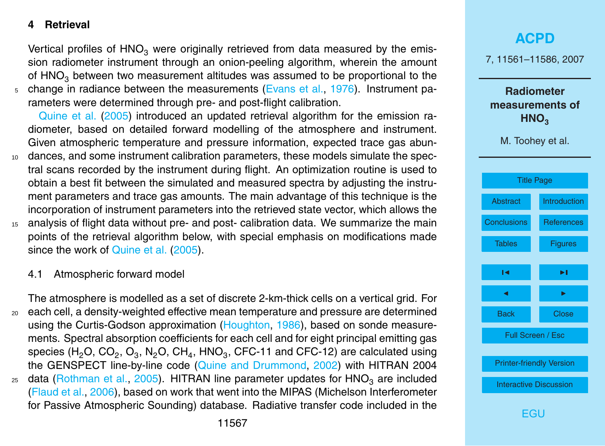#### <span id="page-6-0"></span>**4 Retrieval**

Vertical profiles of  $HNO<sub>3</sub>$  were originally retrieved from data measured by the emission radiometer instrument through an onion-peeling algorithm, wherein the amount of  $HNO<sub>3</sub>$  between two measurement altitudes was assumed to be proportional to the  $5$  change in radiance between the measurements [\(Evans et al.,](#page-16-0) [1976\)](#page-16-0). Instrument pa-

rameters were determined through pre- and post-flight calibration.

[Quine et al.](#page-17-0) [\(2005\)](#page-17-0) introduced an updated retrieval algorithm for the emission radiometer, based on detailed forward modelling of the atmosphere and instrument. Given atmospheric temperature and pressure information, expected trace gas abun-<sup>10</sup> dances, and some instrument calibration parameters, these models simulate the spectral scans recorded by the instrument during flight. An optimization routine is used to

- obtain a best fit between the simulated and measured spectra by adjusting the instrument parameters and trace gas amounts. The main advantage of this technique is the incorporation of instrument parameters into the retrieved state vector, which allows the
- <sup>15</sup> analysis of flight data without pre- and post- calibration data. We summarize the main points of the retrieval algorithm below, with special emphasis on modifications made since the work of [Quine et al.](#page-17-0) [\(2005\)](#page-17-0).
	- 4.1 Atmospheric forward model

The atmosphere is modelled as a set of discrete 2-km-thick cells on a vertical grid. For <sup>20</sup> each cell, a density-weighted effective mean temperature and pressure are determined using the Curtis-Godson approximation [\(Houghton,](#page-16-0) [1986\)](#page-16-0), based on sonde measurements. Spectral absorption coefficients for each cell and for eight principal emitting gas species (H<sub>2</sub>O, CO<sub>2</sub>, O<sub>3</sub>, N<sub>2</sub>O, CH<sub>4</sub>, HNO<sub>3</sub>, CFC-11 and CFC-12) are calculated using the GENSPECT line-by-line code [\(Quine and Drummond,](#page-17-0) [2002\)](#page-17-0) with HITRAN 2004 25 data [\(Rothman et al.,](#page-17-0) [2005\)](#page-17-0). HITRAN line parameter updates for  $HNO<sub>3</sub>$  are included [\(Flaud et al.,](#page-16-0) [2006\)](#page-16-0), based on work that went into the MIPAS (Michelson Interferometer for Passive Atmospheric Sounding) database. Radiative transfer code included in the

7, 11561–11586, 2007

**Radiometer measurements of HNO**<sub>3</sub>

M. Toohey et al.

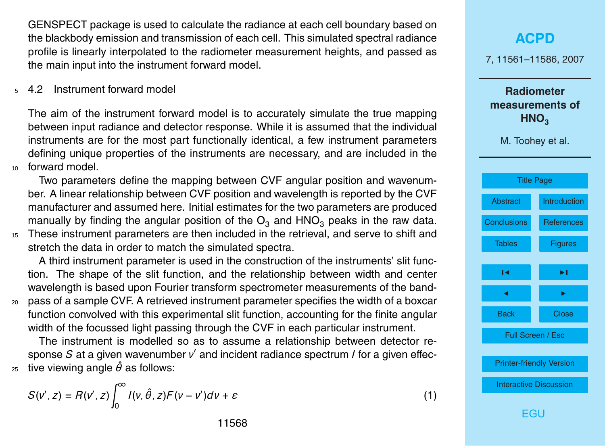<span id="page-7-0"></span>GENSPECT package is used to calculate the radiance at each cell boundary based on the blackbody emission and transmission of each cell. This simulated spectral radiance profile is linearly interpolated to the radiometer measurement heights, and passed as the main input into the instrument forward model.

<sup>5</sup> 4.2 Instrument forward model

The aim of the instrument forward model is to accurately simulate the true mapping between input radiance and detector response. While it is assumed that the individual instruments are for the most part functionally identical, a few instrument parameters defining unique properties of the instruments are necessary, and are included in the <sup>10</sup> forward model.

Two parameters define the mapping between CVF angular position and wavenumber. A linear relationship between CVF position and wavelength is reported by the CVF manufacturer and assumed here. Initial estimates for the two parameters are produced manually by finding the angular position of the  $O_3$  and  $HNO_3$  peaks in the raw data.

<sup>15</sup> These instrument parameters are then included in the retrieval, and serve to shift and stretch the data in order to match the simulated spectra.

A third instrument parameter is used in the construction of the instruments' slit function. The shape of the slit function, and the relationship between width and center wavelength is based upon Fourier transform spectrometer measurements of the band-

<sup>20</sup> pass of a sample CVF. A retrieved instrument parameter specifies the width of a boxcar function convolved with this experimental slit function, accounting for the finite angular width of the focussed light passing through the CVF in each particular instrument.

The instrument is modelled so as to assume a relationship between detector response *S* at a given wavenumber *ν'* and incident radiance spectrum *l* for a given effec-25 tive viewing angle  $\hat{\theta}$  as follows:

$$
S(v', z) = R(v', z) \int_0^\infty I(v, \hat{\theta}, z) F(v - v') dv + \varepsilon
$$
 (1)

## **[ACPD](http://www.atmos-chem-phys-discuss.net)** 7, 11561–11586, 2007 **Radiometer measurements of HNO**<sub>3</sub> M. Toohey et al. [Title Page](#page-0-0) [Abstract](#page-1-0) [Introduction](#page-1-0) [Conclusions](#page-14-0) [References](#page-15-0) [Tables](#page-19-0) [Figures](#page-20-0)  $\sim$  J  $\sim$ **J** I I I I Back Close Full Screen / Esc [Printer-friendly Version](http://www.atmos-chem-phys-discuss.net/7/11561/2007/acpd-7-11561-2007-print.pdf) [Interactive Discussion](http://www.atmos-chem-phys-discuss.net/7/11561/2007/acpd-7-11561-2007-discussion.html) [EGU](http://www.egu.eu)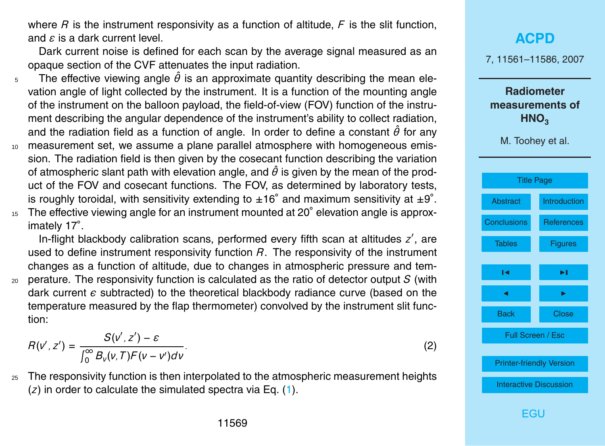where *R* is the instrument responsivity as a function of altitude, *F* is the slit function, and *ε* is a dark current level.

Dark current noise is defined for each scan by the average signal measured as an opaque section of the CVF attenuates the input radiation.

- $5$  The effective viewing angle  $\hat{\theta}$  is an approximate quantity describing the mean elevation angle of light collected by the instrument. It is a function of the mounting angle of the instrument on the balloon payload, the field-of-view (FOV) function of the instrument describing the angular dependence of the instrument's ability to collect radiation, and the radiation field as a function of angle. In order to define a constant *θ*ˆ for any
- <sup>10</sup> measurement set, we assume a plane parallel atmosphere with homogeneous emission. The radiation field is then given by the cosecant function describing the variation of atmospheric slant path with elevation angle, and  $\hat{\theta}$  is given by the mean of the product of the FOV and cosecant functions. The FOV, as determined by laboratory tests, is roughly toroidal, with sensitivity extending to  $\pm 16^{\circ}$  and maximum sensitivity at  $\pm 9^{\circ}$ .
- 15 The effective viewing angle for an instrument mounted at 20° elevation angle is approximately 17◦ .

In-flight blackbody calibration scans, performed every fifth scan at altitudes z', are used to define instrument responsivity function *R*. The responsivity of the instrument changes as a function of altitude, due to changes in atmospheric pressure and tem-<sup>20</sup> perature. The responsivity function is calculated as the ratio of detector output *S* (with dark current  $\epsilon$  subtracted) to the theoretical blackbody radiance curve (based on the temperature measured by the flap thermometer) convolved by the instrument slit function:

$$
R(v', z') = \frac{S(v', z') - \varepsilon}{\int_0^\infty B_v(v, T) F(v - v') dv}.
$$
\n(2)

<sup>25</sup> The responsivity function is then interpolated to the atmospheric measurement heights (*z*) in order to calculate the simulated spectra via Eq. [\(1\)](#page-7-0).

# **[ACPD](http://www.atmos-chem-phys-discuss.net)** 7, 11561–11586, 2007 **Radiometer measurements of HNO**<sub>3</sub> M. Toohey et al. [Title Page](#page-0-0) [Abstract](#page-1-0) [Introduction](#page-1-0) [Conclusions](#page-14-0) [References](#page-15-0) [Tables](#page-19-0) [Figures](#page-20-0)  $\sim$  J  $\sim$ **J** I I I I Back Close Full Screen / Esc [Printer-friendly Version](http://www.atmos-chem-phys-discuss.net/7/11561/2007/acpd-7-11561-2007-print.pdf) [Interactive Discussion](http://www.atmos-chem-phys-discuss.net/7/11561/2007/acpd-7-11561-2007-discussion.html)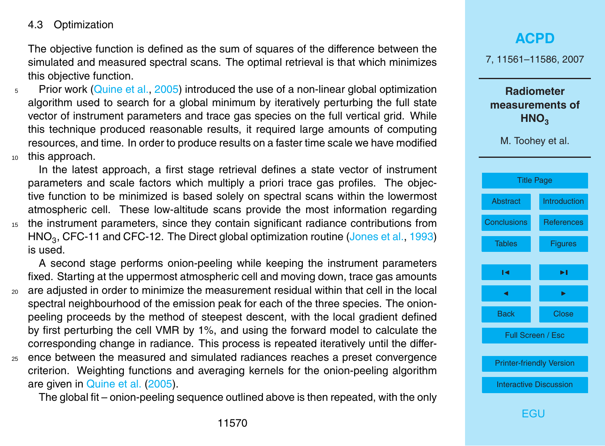#### <span id="page-9-0"></span>4.3 Optimization

The objective function is defined as the sum of squares of the difference between the simulated and measured spectral scans. The optimal retrieval is that which minimizes this objective function.

<sup>5</sup> Prior work [\(Quine et al.,](#page-17-0) [2005\)](#page-17-0) introduced the use of a non-linear global optimization algorithm used to search for a global minimum by iteratively perturbing the full state vector of instrument parameters and trace gas species on the full vertical grid. While this technique produced reasonable results, it required large amounts of computing resources, and time. In order to produce results on a faster time scale we have modified <sup>10</sup> this approach.

In the latest approach, a first stage retrieval defines a state vector of instrument parameters and scale factors which multiply a priori trace gas profiles. The objective function to be minimized is based solely on spectral scans within the lowermost atmospheric cell. These low-altitude scans provide the most information regarding <sup>15</sup> the instrument parameters, since they contain significant radiance contributions from  $\mathsf{HNO}_3$ , CFC-11 and CFC-12. The Direct global optimization routine [\(Jones et al.,](#page-16-0) [1993\)](#page-16-0) is used.

A second stage performs onion-peeling while keeping the instrument parameters fixed. Starting at the uppermost atmospheric cell and moving down, trace gas amounts <sup>20</sup> are adjusted in order to minimize the measurement residual within that cell in the local spectral neighbourhood of the emission peak for each of the three species. The onionpeeling proceeds by the method of steepest descent, with the local gradient defined by first perturbing the cell VMR by 1%, and using the forward model to calculate the corresponding change in radiance. This process is repeated iteratively until the differ-<sup>25</sup> ence between the measured and simulated radiances reaches a preset convergence

criterion. Weighting functions and averaging kernels for the onion-peeling algorithm are given in [Quine et al.](#page-17-0) [\(2005\)](#page-17-0).

The global fit – onion-peeling sequence outlined above is then repeated, with the only

#### **[ACPD](http://www.atmos-chem-phys-discuss.net)**

7, 11561–11586, 2007

**Radiometer measurements of HNO**<sub>3</sub>

M. Toohey et al.

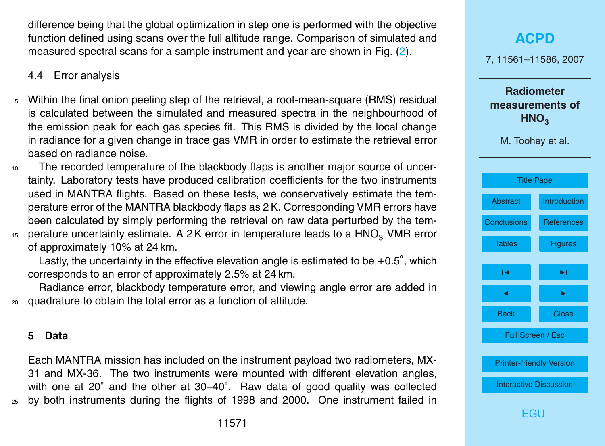difference being that the global optimization in step one is performed with the objective function defined using scans over the full altitude range. Comparison of simulated and measured spectral scans for a sample instrument and year are shown in Fig. [\(2\)](#page-21-0).

4.4 Error analysis

- <sup>5</sup> Within the final onion peeling step of the retrieval, a root-mean-square (RMS) residual is calculated between the simulated and measured spectra in the neighbourhood of the emission peak for each gas species fit. This RMS is divided by the local change in radiance for a given change in trace gas VMR in order to estimate the retrieval error based on radiance noise.
- <sup>10</sup> The recorded temperature of the blackbody flaps is another major source of uncertainty. Laboratory tests have produced calibration coefficients for the two instruments used in MANTRA flights. Based on these tests, we conservatively estimate the temperature error of the MANTRA blackbody flaps as 2 K. Corresponding VMR errors have been calculated by simply performing the retrieval on raw data perturbed by the tem- $15$  perature uncertainty estimate. A 2K error in temperature leads to a HNO<sub>3</sub> VMR error

of approximately 10% at 24 km.

Lastly, the uncertainty in the effective elevation angle is estimated to be  $\pm 0.5^{\circ}$ , which corresponds to an error of approximately 2.5% at 24 km.

Radiance error, blackbody temperature error, and viewing angle error are added in <sup>20</sup> quadrature to obtain the total error as a function of altitude.

#### **5 Data**

Each MANTRA mission has included on the instrument payload two radiometers, MX-31 and MX-36. The two instruments were mounted with different elevation angles, with one at 20° and the other at 30–40°. Raw data of good quality was collected <sup>25</sup> by both instruments during the flights of 1998 and 2000. One instrument failed in

## **[ACPD](http://www.atmos-chem-phys-discuss.net)** 7, 11561–11586, 2007 **Radiometer measurements of HNO**<sub>3</sub> M. Toohey et al. [Title Page](#page-0-0) [Abstract](#page-1-0) [Introduction](#page-1-0) [Conclusions](#page-14-0) [References](#page-15-0) [Tables](#page-19-0) [Figures](#page-20-0)  $\sim$  J  $\sim$ **J** I I I I Back Close Full Screen / Esc [Printer-friendly Version](http://www.atmos-chem-phys-discuss.net/7/11561/2007/acpd-7-11561-2007-print.pdf) [Interactive Discussion](http://www.atmos-chem-phys-discuss.net/7/11561/2007/acpd-7-11561-2007-discussion.html) [EGU](http://www.egu.eu)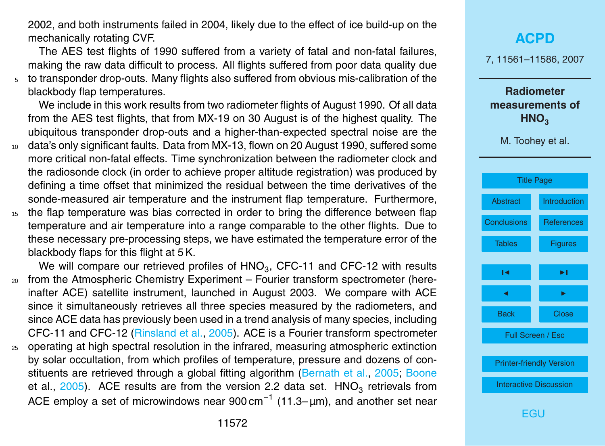<span id="page-11-0"></span>2002, and both instruments failed in 2004, likely due to the effect of ice build-up on the mechanically rotating CVF.

The AES test flights of 1990 suffered from a variety of fatal and non-fatal failures, making the raw data difficult to process. All flights suffered from poor data quality due <sup>5</sup> to transponder drop-outs. Many flights also suffered from obvious mis-calibration of the blackbody flap temperatures.

We include in this work results from two radiometer flights of August 1990. Of all data from the AES test flights, that from MX-19 on 30 August is of the highest quality. The ubiquitous transponder drop-outs and a higher-than-expected spectral noise are the

- <sup>10</sup> data's only significant faults. Data from MX-13, flown on 20 August 1990, suffered some more critical non-fatal effects. Time synchronization between the radiometer clock and the radiosonde clock (in order to achieve proper altitude registration) was produced by defining a time offset that minimized the residual between the time derivatives of the sonde-measured air temperature and the instrument flap temperature. Furthermore,
- <sup>15</sup> the flap temperature was bias corrected in order to bring the difference between flap temperature and air temperature into a range comparable to the other flights. Due to these necessary pre-processing steps, we have estimated the temperature error of the blackbody flaps for this flight at 5 K.

We will compare our retrieved profiles of  $\mathsf{HNO}_3$ , CFC-11 and CFC-12 with results <sup>20</sup> from the Atmospheric Chemistry Experiment – Fourier transform spectrometer (hereinafter ACE) satellite instrument, launched in August 2003. We compare with ACE since it simultaneously retrieves all three species measured by the radiometers, and since ACE data has previously been used in a trend analysis of many species, including CFC-11 and CFC-12 [\(Rinsland et al.,](#page-17-0) [2005\)](#page-17-0). ACE is a Fourier transform spectrometer <sup>25</sup> operating at high spectral resolution in the infrared, measuring atmospheric extinction

by solar occultation, from which profiles of temperature, pressure and dozens of con[s](#page-15-0)tituents are retrieved through a global fitting algorithm [\(Bernath et al.,](#page-15-0) [2005;](#page-15-0) [Boone](#page-15-0) [et al.,](#page-15-0) [2005\)](#page-15-0). ACE results are from the version 2.2 data set.  $\,$  HNO<sub>3</sub> retrievals from ACE employ a set of microwindows near 900 cm<sup>-1</sup> (11.3–µm), and another set near

### **[ACPD](http://www.atmos-chem-phys-discuss.net)** 7, 11561–11586, 2007 **Radiometer measurements of HNO**<sub>3</sub> M. Toohey et al. [Title Page](#page-0-0) [Abstract](#page-1-0) [Introduction](#page-1-0) [Conclusions](#page-14-0) [References](#page-15-0) [Tables](#page-19-0) [Figures](#page-20-0)  $\sim$  J  $\sim$ **J** I I I I Back Close Full Screen / Esc [Printer-friendly Version](http://www.atmos-chem-phys-discuss.net/7/11561/2007/acpd-7-11561-2007-print.pdf) [Interactive Discussion](http://www.atmos-chem-phys-discuss.net/7/11561/2007/acpd-7-11561-2007-discussion.html)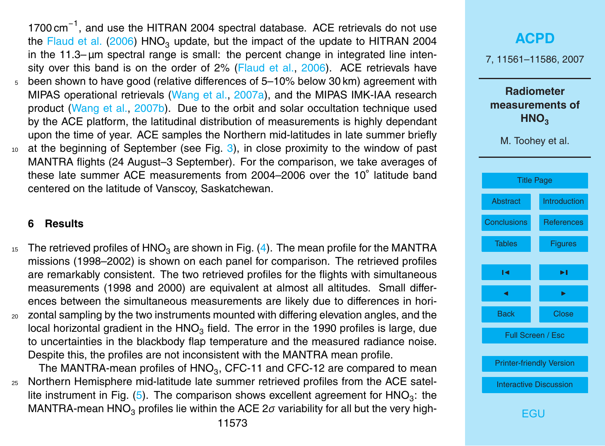<span id="page-12-0"></span>1700 cm<sup>-1</sup>, and use the HITRAN 2004 spectral database. ACE retrievals do not use the [Flaud et al.](#page-16-0) [\(2006\)](#page-16-0) HNO<sub>3</sub> update, but the impact of the update to HITRAN 2004 in the  $11.3$ –  $\mu$ m spectral range is small: the percent change in integrated line intensity over this band is on the order of 2% [\(Flaud et al.,](#page-16-0) [2006\)](#page-16-0). ACE retrievals have  $5$  been shown to have good (relative differences of  $5-10%$  below 30 km) agreement with MIPAS operational retrievals [\(Wang et al.,](#page-18-0) [2007a\)](#page-18-0), and the MIPAS IMK-IAA research product [\(Wang et al.,](#page-18-0) [2007b\)](#page-18-0). Due to the orbit and solar occultation technique used by the ACE platform, the latitudinal distribution of measurements is highly dependant upon the time of year. ACE samples the Northern mid-latitudes in late summer briefly  $10$  at the beginning of September (see Fig. [3\)](#page-22-0), in close proximity to the window of past MANTRA flights (24 August–3 September). For the comparison, we take averages of these late summer ACE measurements from 2004–2006 over the 10◦ latitude band centered on the latitude of Vanscoy, Saskatchewan.

#### **6 Results**

- <sup>15</sup> The retrieved profiles of HNO<sub>3</sub> are shown in Fig. [\(4\)](#page-23-0). The mean profile for the MANTRA missions (1998–2002) is shown on each panel for comparison. The retrieved profiles are remarkably consistent. The two retrieved profiles for the flights with simultaneous measurements (1998 and 2000) are equivalent at almost all altitudes. Small differences between the simultaneous measurements are likely due to differences in hori-
- <sup>20</sup> zontal sampling by the two instruments mounted with differing elevation angles, and the local horizontal gradient in the  $HNO<sub>3</sub>$  field. The error in the 1990 profiles is large, due to uncertainties in the blackbody flap temperature and the measured radiance noise. Despite this, the profiles are not inconsistent with the MANTRA mean profile.

The MANTRA-mean profiles of  $\mathsf{HNO}_3$ , CFC-11 and CFC-12 are compared to mean <sup>25</sup> Northern Hemisphere mid-latitude late summer retrieved profiles from the ACE satel-lite instrument in Fig. [\(5\)](#page-24-0). The comparison shows excellent agreement for  $HNO<sub>3</sub>$ : the MANTRA-mean HNO<sub>3</sub> profiles lie within the ACE 2*σ* variability for all but the very high-

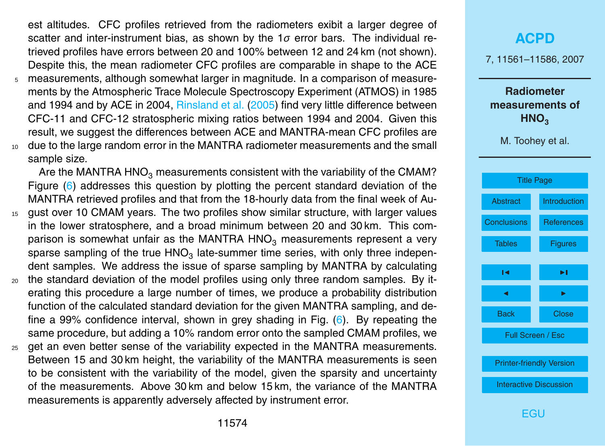<span id="page-13-0"></span>est altitudes. CFC profiles retrieved from the radiometers exibit a larger degree of scatter and inter-instrument bias, as shown by the 1*σ* error bars. The individual retrieved profiles have errors between 20 and 100% between 12 and 24 km (not shown). Despite this, the mean radiometer CFC profiles are comparable in shape to the ACE <sup>5</sup> measurements, although somewhat larger in magnitude. In a comparison of measure-

ments by the Atmospheric Trace Molecule Spectroscopy Experiment (ATMOS) in 1985 and 1994 and by ACE in 2004, [Rinsland et al.](#page-17-0) [\(2005\)](#page-17-0) find very little difference between CFC-11 and CFC-12 stratospheric mixing ratios between 1994 and 2004. Given this result, we suggest the differences between ACE and MANTRA-mean CFC profiles are <sup>10</sup> due to the large random error in the MANTRA radiometer measurements and the small sample size.

Are the MANTRA HNO<sub>3</sub> measurements consistent with the variability of the CMAM? Figure [\(6\)](#page-25-0) addresses this question by plotting the percent standard deviation of the MANTRA retrieved profiles and that from the 18-hourly data from the final week of Au-

- 15 gust over 10 CMAM years. The two profiles show similar structure, with larger values in the lower stratosphere, and a broad minimum between 20 and 30 km. This comparison is somewhat unfair as the MANTRA HNO<sub>3</sub> measurements represent a very sparse sampling of the true  $\mathsf{HNO}_3$  late-summer time series, with only three independent samples. We address the issue of sparse sampling by MANTRA by calculating
- <sub>20</sub> the standard deviation of the model profiles using only three random samples. By iterating this procedure a large number of times, we produce a probability distribution function of the calculated standard deviation for the given MANTRA sampling, and define a 99% confidence interval, shown in grey shading in Fig. [\(6\)](#page-25-0). By repeating the same procedure, but adding a 10% random error onto the sampled CMAM profiles, we
- <sup>25</sup> get an even better sense of the variability expected in the MANTRA measurements. Between 15 and 30 km height, the variability of the MANTRA measurements is seen to be consistent with the variability of the model, given the sparsity and uncertainty of the measurements. Above 30 km and below 15 km, the variance of the MANTRA measurements is apparently adversely affected by instrument error.

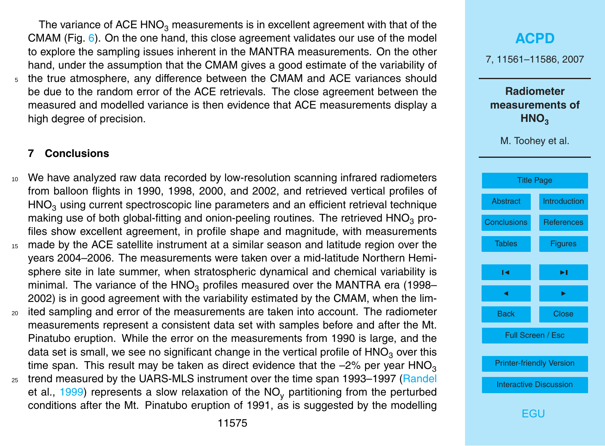<span id="page-14-0"></span>The variance of ACE HNO<sub>3</sub> measurements is in excellent agreement with that of the CMAM (Fig. [6\)](#page-25-0). On the one hand, this close agreement validates our use of the model to explore the sampling issues inherent in the MANTRA measurements. On the other hand, under the assumption that the CMAM gives a good estimate of the variability of <sup>5</sup> the true atmosphere, any difference between the CMAM and ACE variances should be due to the random error of the ACE retrievals. The close agreement between the measured and modelled variance is then evidence that ACE measurements display a high degree of precision.

#### **7 Conclusions**

- <sup>10</sup> We have analyzed raw data recorded by low-resolution scanning infrared radiometers from balloon flights in 1990, 1998, 2000, and 2002, and retrieved vertical profiles of  $HNO<sub>3</sub>$  using current spectroscopic line parameters and an efficient retrieval technique making use of both global-fitting and onion-peeling routines. The retrieved  $HNO<sub>3</sub>$  profiles show excellent agreement, in profile shape and magnitude, with measurements <sup>15</sup> made by the ACE satellite instrument at a similar season and latitude region over the years 2004–2006. The measurements were taken over a mid-latitude Northern Hemisphere site in late summer, when stratospheric dynamical and chemical variability is minimal. The variance of the  $HNO<sub>3</sub>$  profiles measured over the MANTRA era (1998– 2002) is in good agreement with the variability estimated by the CMAM, when the lim-
- <sup>20</sup> ited sampling and error of the measurements are taken into account. The radiometer measurements represent a consistent data set with samples before and after the Mt. Pinatubo eruption. While the error on the measurements from 1990 is large, and the data set is small, we see no significant change in the vertical profile of  $HNO<sub>3</sub>$  over this time span. This result may be taken as direct evidence that the  $-2\%$  per year HNO<sub>3</sub>
- <sub>25</sub> [t](#page-17-0)rend measured by the UARS-MLS instrument over the time span 1993–1997 [\(Randel](#page-17-0) [et al.,](#page-17-0) [1999\)](#page-17-0) represents a slow relaxation of the  $NO<sub>v</sub>$  partitioning from the perturbed conditions after the Mt. Pinatubo eruption of 1991, as is suggested by the modelling

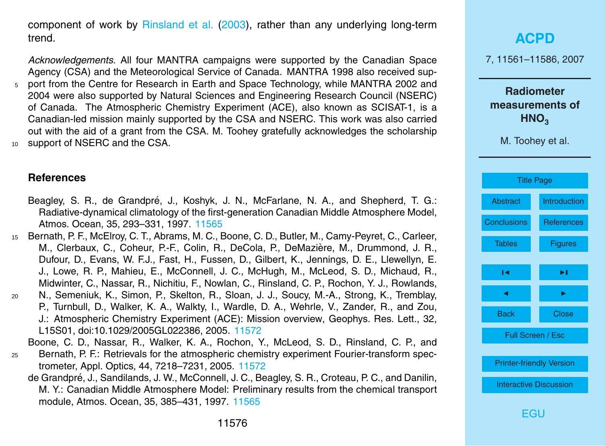<span id="page-15-0"></span>component of work by [Rinsland et al.](#page-17-0) [\(2003\)](#page-17-0), rather than any underlying long-term trend.

*Acknowledgements.* All four MANTRA campaigns were supported by the Canadian Space Agency (CSA) and the Meteorological Service of Canada. MANTRA 1998 also received sup-<sup>5</sup> port from the Centre for Research in Earth and Space Technology, while MANTRA 2002 and 2004 were also supported by Natural Sciences and Engineering Research Council (NSERC) of Canada. The Atmospheric Chemistry Experiment (ACE), also known as SCISAT-1, is a Canadian-led mission mainly supported by the CSA and NSERC. This work was also carried out with the aid of a grant from the CSA. M. Toohey gratefully acknowledges the scholarship <sup>10</sup> support of NSERC and the CSA.

#### **References**

- Beagley, S. R., de Grandpré, J., Koshyk, J. N., McFarlane, N. A., and Shepherd, T. G.: Radiative-dynamical climatology of the first-generation Canadian Middle Atmosphere Model, Atmos. Ocean, 35, 293–331, 1997. [11565](#page-4-0)
- <sup>15</sup> Bernath, P. F., McElroy, C. T., Abrams, M. C., Boone, C. D., Butler, M., Camy-Peyret, C., Carleer, M., Clerbaux, C., Coheur, P.-F., Colin, R., DeCola, P., DeMazière, M., Drummond, J. R., Dufour, D., Evans, W. F.J., Fast, H., Fussen, D., Gilbert, K., Jennings, D. E., Llewellyn, E. J., Lowe, R. P., Mahieu, E., McConnell, J. C., McHugh, M., McLeod, S. D., Michaud, R., Midwinter, C., Nassar, R., Nichitiu, F., Nowlan, C., Rinsland, C. P., Rochon, Y. J., Rowlands,
- <sup>20</sup> N., Semeniuk, K., Simon, P., Skelton, R., Sloan, J. J., Soucy, M.-A., Strong, K., Tremblay, P., Turnbull, D., Walker, K. A., Walkty, I., Wardle, D. A., Wehrle, V., Zander, R., and Zou, J.: Atmospheric Chemistry Experiment (ACE): Mission overview, Geophys. Res. Lett., 32, L15S01, doi:10.1029/2005GL022386, 2005. [11572](#page-11-0)

Boone, C. D., Nassar, R., Walker, K. A., Rochon, Y., McLeod, S. D., Rinsland, C. P., and

- <sup>25</sup> Bernath, P. F.: Retrievals for the atmospheric chemistry experiment Fourier-transform spectrometer, Appl. Optics, 44, 7218–7231, 2005. [11572](#page-11-0)
	- de Grandpré, J., Sandilands, J. W., McConnell, J. C., Beagley, S. R., Croteau, P. C., and Danilin, M. Y.: Canadian Middle Atmosphere Model: Preliminary results from the chemical transport module, Atmos. Ocean, 35, 385–431, 1997. [11565](#page-4-0)

## **[ACPD](http://www.atmos-chem-phys-discuss.net)** 7, 11561–11586, 2007 **Radiometer measurements of HNO<sup>3</sup>** M. Toohey et al. [Title Page](#page-0-0) [Abstract](#page-1-0) [Introduction](#page-1-0) [Conclusions](#page-14-0) References [Tables](#page-19-0) [Figures](#page-20-0)  $\sim$  J  $\sim$ **J** I I I I Back Close Full Screen / Esc [Printer-friendly Version](http://www.atmos-chem-phys-discuss.net/7/11561/2007/acpd-7-11561-2007-print.pdf) [Interactive Discussion](http://www.atmos-chem-phys-discuss.net/7/11561/2007/acpd-7-11561-2007-discussion.html)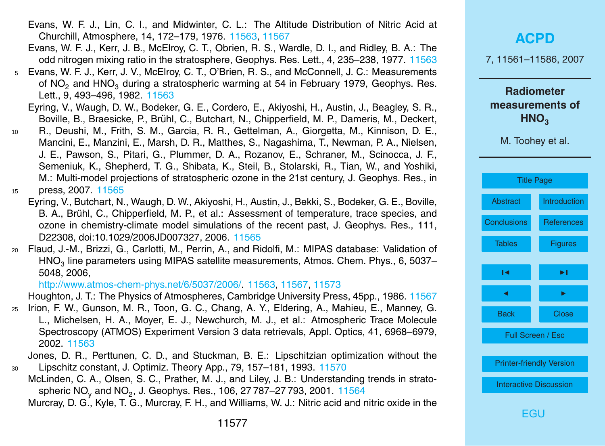- <span id="page-16-0"></span>Evans, W. F. J., Lin, C. I., and Midwinter, C. L.: The Altitude Distribution of Nitric Acid at Churchill, Atmosphere, 14, 172–179, 1976. [11563,](#page-2-0) [11567](#page-6-0)
- Evans, W. F. J., Kerr, J. B., McElroy, C. T., Obrien, R. S., Wardle, D. I., and Ridley, B. A.: The odd nitrogen mixing ratio in the stratosphere, Geophys. Res. Lett., 4, 235–238, 1977. [11563](#page-2-0)
- <sup>5</sup> Evans, W. F. J., Kerr, J. V., McElroy, C. T., O'Brien, R. S., and McConnell, J. C.: Measurements of NO<sub>2</sub> and HNO<sub>2</sub> during a stratospheric warming at 54 in February 1979, Geophys. Res. Lett., 9, 493–496, 1982. [11563](#page-2-0)
	- Eyring, V., Waugh, D. W., Bodeker, G. E., Cordero, E., Akiyoshi, H., Austin, J., Beagley, S. R., Boville, B., Braesicke, P., Brühl, C., Butchart, N., Chipperfield, M. P., Dameris, M., Deckert,
- <sup>10</sup> R., Deushi, M., Frith, S. M., Garcia, R. R., Gettelman, A., Giorgetta, M., Kinnison, D. E., Mancini, E., Manzini, E., Marsh, D. R., Matthes, S., Nagashima, T., Newman, P. A., Nielsen, J. E., Pawson, S., Pitari, G., Plummer, D. A., Rozanov, E., Schraner, M., Scinocca, J. F., Semeniuk, K., Shepherd, T. G., Shibata, K., Steil, B., Stolarski, R., Tian, W., and Yoshiki, M.: Multi-model projections of stratospheric ozone in the 21st century, J. Geophys. Res., in

<sup>15</sup> press, 2007. [11565](#page-4-0)

- Eyring, V., Butchart, N., Waugh, D. W., Akiyoshi, H., Austin, J., Bekki, S., Bodeker, G. E., Boville, B. A., Brühl, C., Chipperfield, M. P., et al.: Assessment of temperature, trace species, and ozone in chemistry-climate model simulations of the recent past, J. Geophys. Res., 111, D22308, doi:10.1029/2006JD007327, 2006. [11565](#page-4-0)
- <sup>20</sup> Flaud, J.-M., Brizzi, G., Carlotti, M., Perrin, A., and Ridolfi, M.: MIPAS database: Validation of  $HNO<sub>3</sub>$  line parameters using MIPAS satellite measurements, Atmos. Chem. Phys., 6, 5037– 5048, 2006,

[http://www.atmos-chem-phys.net/6/5037/2006/.](http://www.atmos-chem-phys.net/6/5037/2006/) [11563,](#page-2-0) [11567,](#page-6-0) [11573](#page-12-0)

Houghton, J. T.: The Physics of Atmospheres, Cambridge University Press, 45pp., 1986. [11567](#page-6-0)

<sup>25</sup> Irion, F. W., Gunson, M. R., Toon, G. C., Chang, A. Y., Eldering, A., Mahieu, E., Manney, G. L., Michelsen, H. A., Moyer, E. J., Newchurch, M. J., et al.: Atmospheric Trace Molecule Spectroscopy (ATMOS) Experiment Version 3 data retrievals, Appl. Optics, 41, 6968–6979, 2002. [11563](#page-2-0)

Jones, D. R., Perttunen, C. D., and Stuckman, B. E.: Lipschitzian optimization without the <sup>30</sup> Lipschitz constant, J. Optimiz. Theory App., 79, 157–181, 1993. [11570](#page-9-0)

McLinden, C. A., Olsen, S. C., Prather, M. J., and Liley, J. B.: Understanding trends in strato-spheric NO<sub>y</sub> and NO<sub>2</sub>, J. Geophys. Res., 106, 27 787–27 793, 2001. [11564](#page-3-0)

Murcray, D. G., Kyle, T. G., Murcray, F. H., and Williams, W. J.: Nitric acid and nitric oxide in the

| <b>ACPD</b>                                                                  |                     |  |
|------------------------------------------------------------------------------|---------------------|--|
| 7, 11561-11586, 2007                                                         |                     |  |
| <b>Radiometer</b><br>measurements of<br>HNO <sub>3</sub><br>M. Toohey et al. |                     |  |
| <b>Title Page</b>                                                            |                     |  |
| <b>Abstract</b>                                                              | <b>Introduction</b> |  |
| <b>Conclusions</b>                                                           | <b>References</b>   |  |
| <b>Tables</b>                                                                | <b>Figures</b>      |  |
| Н                                                                            | ►∣                  |  |
| ◀                                                                            |                     |  |
| <b>Back</b>                                                                  | <b>Close</b>        |  |
| Full Screen / Esc                                                            |                     |  |
| <b>Printer-friendly Version</b>                                              |                     |  |
| <b>Interactive Discussion</b>                                                |                     |  |
| :GU                                                                          |                     |  |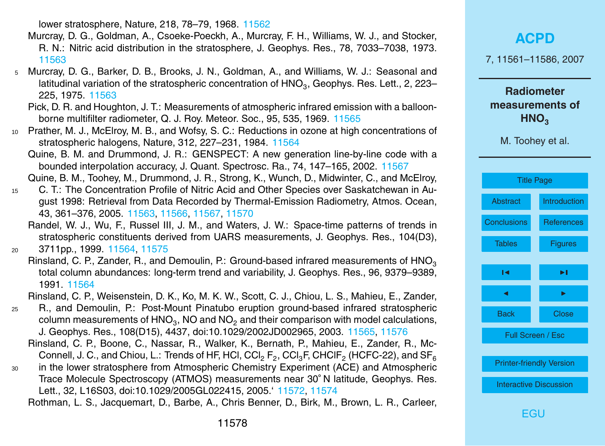lower stratosphere, Nature, 218, 78–79, 1968. [11562](#page-1-0)

- <span id="page-17-0"></span>Murcray, D. G., Goldman, A., Csoeke-Poeckh, A., Murcray, F. H., Williams, W. J., and Stocker, R. N.: Nitric acid distribution in the stratosphere, J. Geophys. Res., 78, 7033–7038, 1973. [11563](#page-2-0)
- <sup>5</sup> Murcray, D. G., Barker, D. B., Brooks, J. N., Goldman, A., and Williams, W. J.: Seasonal and latitudinal variation of the stratospheric concentration of  $\mathsf{HNO}_3$ , Geophys. Res. Lett., 2, 223– 225, 1975. [11563](#page-2-0)
	- Pick, D. R. and Houghton, J. T.: Measurements of atmospheric infrared emission with a balloonborne multifilter radiometer, Q. J. Roy. Meteor. Soc., 95, 535, 1969. [11565](#page-4-0)
- <sup>10</sup> Prather, M. J., McElroy, M. B., and Wofsy, S. C.: Reductions in ozone at high concentrations of stratospheric halogens, Nature, 312, 227–231, 1984. [11564](#page-3-0)

Quine, B. M. and Drummond, J. R.: GENSPECT: A new generation line-by-line code with a bounded interpolation accuracy, J. Quant. Spectrosc. Ra., 74, 147–165, 2002. [11567](#page-6-0)

Quine, B. M., Toohey, M., Drummond, J. R., Strong, K., Wunch, D., Midwinter, C., and McElroy,

- <sup>15</sup> C. T.: The Concentration Profile of Nitric Acid and Other Species over Saskatchewan in August 1998: Retrieval from Data Recorded by Thermal-Emission Radiometry, Atmos. Ocean, 43, 361–376, 2005. [11563,](#page-2-0) [11566,](#page-5-0) [11567,](#page-6-0) [11570](#page-9-0)
	- Randel, W. J., Wu, F., Russel III, J. M., and Waters, J. W.: Space-time patterns of trends in stratospheric constituents derived from UARS measurements, J. Geophys. Res., 104(D3),
- <sup>20</sup> 3711pp., 1999. [11564,](#page-3-0) [11575](#page-14-0)
	- Rinsland, C. P., Zander, R., and Demoulin, P.: Ground-based infrared measurements of  $HNO<sub>3</sub>$ total column abundances: long-term trend and variability, J. Geophys. Res., 96, 9379–9389, 1991. [11564](#page-3-0)

Rinsland, C. P., Weisenstein, D. K., Ko, M. K. W., Scott, C. J., Chiou, L. S., Mahieu, E., Zander,

- <sup>25</sup> R., and Demoulin, P.: Post-Mount Pinatubo eruption ground-based infrared stratospheric column measurements of HNO<sub>3</sub>, NO and NO<sub>2</sub> and their comparison with model calculations, J. Geophys. Res., 108(D15), 4437, doi:10.1029/2002JD002965, 2003. [11565,](#page-4-0) [11576](#page-15-0) Rinsland, C. P., Boone, C., Nassar, R., Walker, K., Bernath, P., Mahieu, E., Zander, R., Mc-
	- Connell, J. C., and Chiou, L.: Trends of HF, HCl, CCl $_2$  F $_2$ , CCl $_3$ F, CHClF $_2$  (HCFC-22), and SF $_6$
- <sup>30</sup> in the lower stratosphere from Atmospheric Chemistry Experiment (ACE) and Atmospheric Trace Molecule Spectroscopy (ATMOS) measurements near 30◦ N latitude, Geophys. Res. Lett., 32, L16S03, doi:10.1029/2005GL022415, 2005.' [11572,](#page-11-0) [11574](#page-13-0)

Rothman, L. S., Jacquemart, D., Barbe, A., Chris Benner, D., Birk, M., Brown, L. R., Carleer,

| 7, 11561-11586, 2007                                     |                   |  |
|----------------------------------------------------------|-------------------|--|
| <b>Radiometer</b><br>measurements of<br>HNO <sub>3</sub> |                   |  |
| M. Toohey et al.                                         |                   |  |
|                                                          |                   |  |
| <b>Title Page</b>                                        |                   |  |
| Abstract                                                 | Introduction      |  |
| <b>Conclusions</b>                                       | <b>References</b> |  |
| <b>Tables</b>                                            | <b>Figures</b>    |  |
|                                                          |                   |  |
| ıч                                                       | ▶∣                |  |
| ◀                                                        | ▶                 |  |
| <b>Back</b>                                              | <b>Close</b>      |  |
| .                                                        |                   |  |

**[ACPD](http://www.atmos-chem-phys-discuss.net)**

Full Screen / Esc

[Printer-friendly Version](http://www.atmos-chem-phys-discuss.net/7/11561/2007/acpd-7-11561-2007-print.pdf)

[Interactive Discussion](http://www.atmos-chem-phys-discuss.net/7/11561/2007/acpd-7-11561-2007-discussion.html)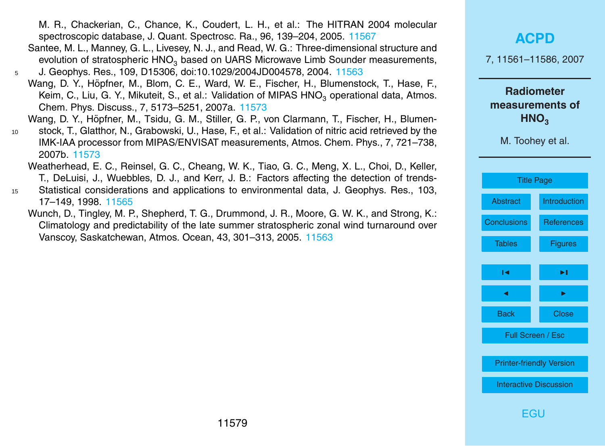<span id="page-18-0"></span>M. R., Chackerian, C., Chance, K., Coudert, L. H., et al.: The HITRAN 2004 molecular spectroscopic database, J. Quant. Spectrosc. Ra., 96, 139–204, 2005. [11567](#page-6-0)

- Santee, M. L., Manney, G. L., Livesey, N. J., and Read, W. G.: Three-dimensional structure and evolution of stratospheric HNO<sub>3</sub> based on UARS Microwave Limb Sounder measurements,
- <sup>5</sup> J. Geophys. Res., 109, D15306, doi:10.1029/2004JD004578, 2004. [11563](#page-2-0) Wang, D. Y., Höpfner, M., Blom, C. E., Ward, W. E., Fischer, H., Blumenstock, T., Hase, F., Keim, C., Liu, G. Y., Mikuteit, S., et al.: Validation of MIPAS HNO<sub>3</sub> operational data, Atmos. Chem. Phys. Discuss., 7, 5173–5251, 2007a. [11573](#page-12-0)
	- Wang, D. Y., Höpfner, M., Tsidu, G. M., Stiller, G. P., von Clarmann, T., Fischer, H., Blumen-
- <sup>10</sup> stock, T., Glatthor, N., Grabowski, U., Hase, F., et al.: Validation of nitric acid retrieved by the IMK-IAA processor from MIPAS/ENVISAT measurements, Atmos. Chem. Phys., 7, 721–738, 2007b. [11573](#page-12-0)
	- Weatherhead, E. C., Reinsel, G. C., Cheang, W. K., Tiao, G. C., Meng, X. L., Choi, D., Keller, T., DeLuisi, J., Wuebbles, D. J., and Kerr, J. B.: Factors affecting the detection of trends-
- <sup>15</sup> Statistical considerations and applications to environmental data, J. Geophys. Res., 103, 17–149, 1998. [11565](#page-4-0)
	- Wunch, D., Tingley, M. P., Shepherd, T. G., Drummond, J. R., Moore, G. W. K., and Strong, K.: Climatology and predictability of the late summer stratospheric zonal wind turnaround over Vanscoy, Saskatchewan, Atmos. Ocean, 43, 301–313, 2005. [11563](#page-2-0)

#### **[ACPD](http://www.atmos-chem-phys-discuss.net)**

7, 11561–11586, 2007

**Radiometer measurements of HNO<sup>3</sup>**

M. Toohey et al.

| <b>Title Page</b>               |                |  |
|---------------------------------|----------------|--|
| Abstract                        | Introduction   |  |
| <b>Conclusions</b>              | References     |  |
| <b>Tables</b>                   | <b>Figures</b> |  |
| ы                               | ы              |  |
|                                 |                |  |
| ◀                               | ь              |  |
| <b>Back</b>                     | Close          |  |
| <b>Full Screen / Esc</b>        |                |  |
|                                 |                |  |
| <b>Printer-friendly Version</b> |                |  |
| <b>Interactive Discussion</b>   |                |  |
|                                 |                |  |

**FGU**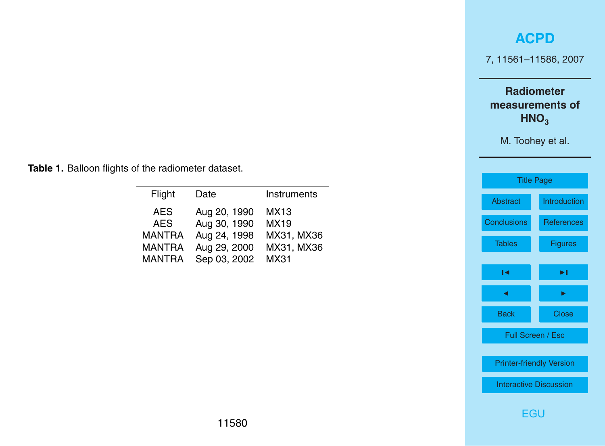7, 11561–11586, 2007

**Radiometer measurements of HNO**<sub>3</sub>

M. Toohey et al.

<span id="page-19-0"></span>**Table 1.** Balloon flights of the radiometer dataset.

| Flight        | Date         | Instruments |
|---------------|--------------|-------------|
| AES           | Aug 20, 1990 | MX13        |
| <b>AES</b>    | Aug 30, 1990 | MX19        |
| <b>MANTRA</b> | Aug 24, 1998 | MX31, MX36  |
| <b>MANTRA</b> | Aug 29, 2000 | MX31, MX36  |
| <b>MANTRA</b> | Sep 03, 2002 | MX31        |

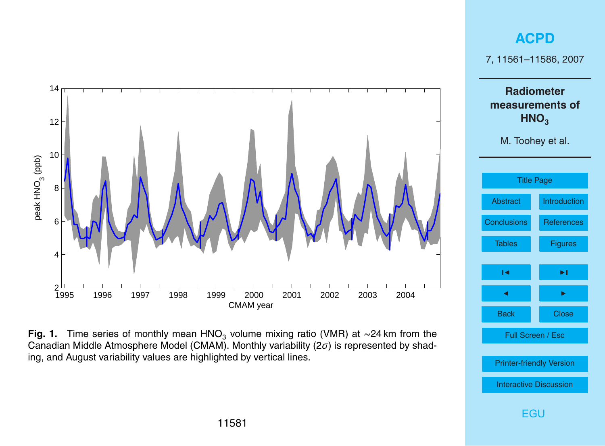<span id="page-20-0"></span>

**Fig. 1.** Time series of monthly mean HNO<sub>3</sub> volume mixing ratio (VMR) at ∼24 km from the Canadian Middle Atmosphere Model (CMAM). Monthly variability (2*σ*) is represented by shading, and August variability values are highlighted by vertical lines.

7, 11561–11586, 2007

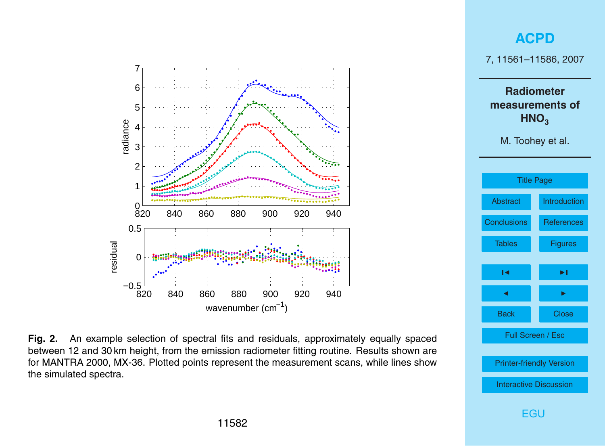<span id="page-21-0"></span>



**Fig. 2.** An example selection of spectral fits and residuals, approximately equally spaced between 12 and 30 km height, from the emission radiometer fitting routine. Results shown are for MANTRA 2000, MX-36. Plotted points represent the measurement scans, while lines show the simulated spectra.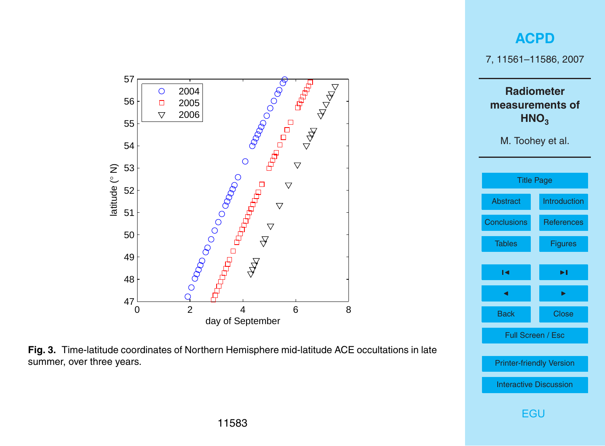<span id="page-22-0"></span>

**Fig. 3.** Time-latitude coordinates of Northern Hemisphere mid-latitude ACE occultations in late summer, over three years.

[Printer-friendly Version](http://www.atmos-chem-phys-discuss.net/7/11561/2007/acpd-7-11561-2007-print.pdf)

[Interactive Discussion](http://www.atmos-chem-phys-discuss.net/7/11561/2007/acpd-7-11561-2007-discussion.html)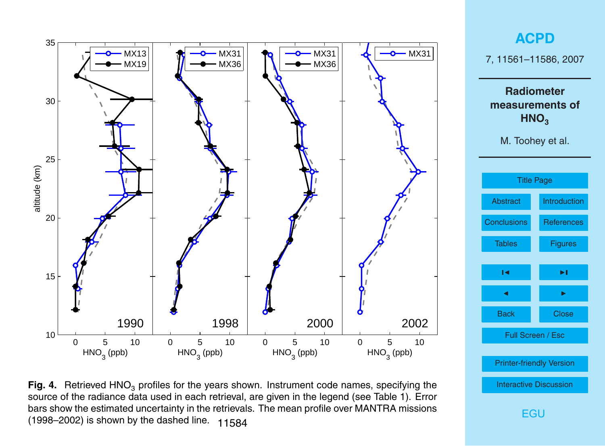<span id="page-23-0"></span>

**Fig. 4.** Retrieved HNO<sub>3</sub> profiles for the years shown. Instrument code names, specifying the source of the radiance data used in each retrieval, are given in the legend (see Table 1). Error bars show the estimated uncertainty in the retrievals. The mean profile over MANTRA missions (1998–2002) is shown by the dashed line.  $11584$ 

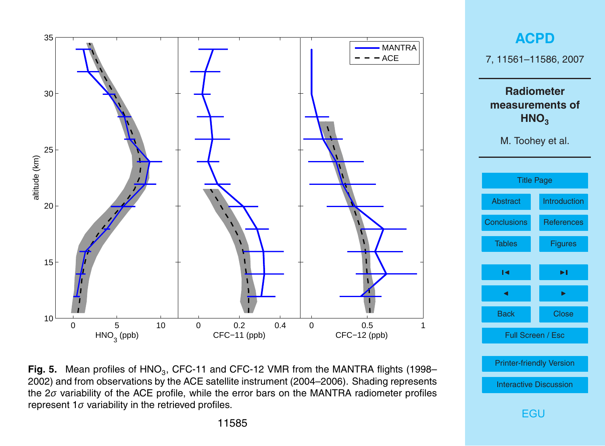<span id="page-24-0"></span>

**Fig. 5.** Mean profiles of HNO<sub>3</sub>, CFC-11 and CFC-12 VMR from the MANTRA flights (1998– 2002) and from observations by the ACE satellite instrument (2004–2006). Shading represents the 2*σ* variability of the ACE profile, while the error bars on the MANTRA radiometer profiles represent 1*σ* variability in the retrieved profiles.